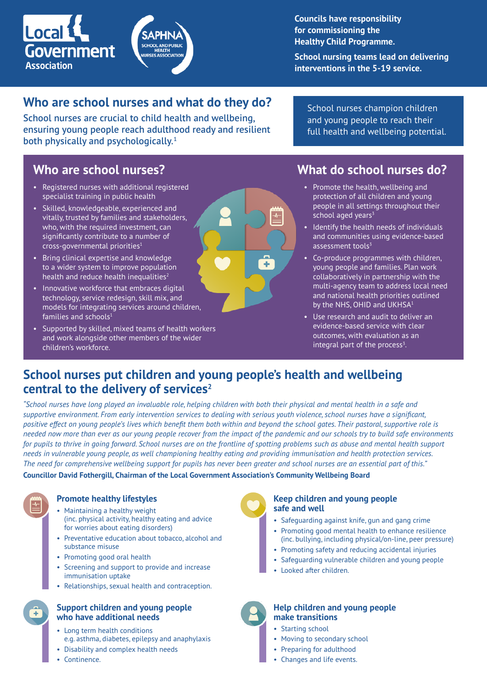

**Councils have responsibility for commissioning the Healthy Child Programme.**

**School nursing teams lead on delivering interventions in the 5-19 service.**

# **Who are school nurses and what do they do?** School nurses champion children

School nurses are crucial to child health and wellbeing, ensuring young people reach adulthood ready and resilient both physically and psychologically.<sup>1</sup>

and young people to reach their full health and wellbeing potential.

- Registered nurses with additional registered specialist training in public health
- Skilled, knowledgeable, experienced and vitally, trusted by families and stakeholders, who, with the required investment, can significantly contribute to a number of cross-governmental priorities1
- Bring clinical expertise and knowledge to a wider system to improve population health and reduce health inequalities $2$
- Innovative workforce that embraces digital technology, service redesign, skill mix, and models for integrating services around children, families and schools<sup>1</sup>
- Supported by skilled, mixed teams of health workers and work alongside other members of the wider children's workforce.

## **Who are school nurses? What do school nurses do?**

- Promote the health, wellbeing and protection of all children and young people in all settings throughout their school aged years<sup>3</sup>
- Identify the health needs of individuals and communities using evidence-based assessment tools $3$
- Co-produce programmes with children, young people and families. Plan work collaboratively in partnership with the multi-agency team to address local need and national health priorities outlined by the NHS, OHID and UKHSA<sup>1</sup>
- Use research and audit to deliver an evidence-based service with clear outcomes, with evaluation as an integral part of the process $3$ .

## **School nurses put children and young people's health and wellbeing central to the delivery of services2**

*"School nurses have long played an invaluable role, helping children with both their physical and mental health in a safe and supportive environment. From early intervention services to dealing with serious youth violence, school nurses have a significant, positive effect on young people's lives which benefit them both within and beyond the school gates. Their pastoral, supportive role is needed now more than ever as our young people recover from the impact of the pandemic and our schools try to build safe environments*  for pupils to thrive in going forward. School nurses are on the frontline of spotting problems such as abuse and mental health support *needs in vulnerable young people, as well championing healthy eating and providing immunisation and health protection services. The need for comprehensive wellbeing support for pupils has never been greater and school nurses are an essential part of this."* 

 $\overline{\mathcal{N}}$ 

 $\pm$ 

**Councillor David Fothergill, Chairman of the Local Government Association's Community Wellbeing Board**

### **Promote healthy lifestyles**

- Maintaining a healthy weight (inc. physical activity, healthy eating and advice for worries about eating disorders)
- Preventative education about tobacco, alcohol and substance misuse
- Promoting good oral health
- Screening and support to provide and increase immunisation uptake
- Relationships, sexual health and contraception.

#### **Support children and young people who have additional needs**

- Long term health conditions e.g. asthma, diabetes, epilepsy and anaphylaxis
- Disability and complex health needs
- Continence.

Ŧ

#### **Keep children and young people safe and well**

- Safeguarding against knife, gun and gang crime
- Promoting good mental health to enhance resilience (inc. bullying, including physical/on-line, peer pressure)
- Promoting safety and reducing accidental injuries
- Safeguarding vulnerable children and young people
- Looked after children.



- Starting school
- Moving to secondary school
- Preparing for adulthood
- Changes and life events.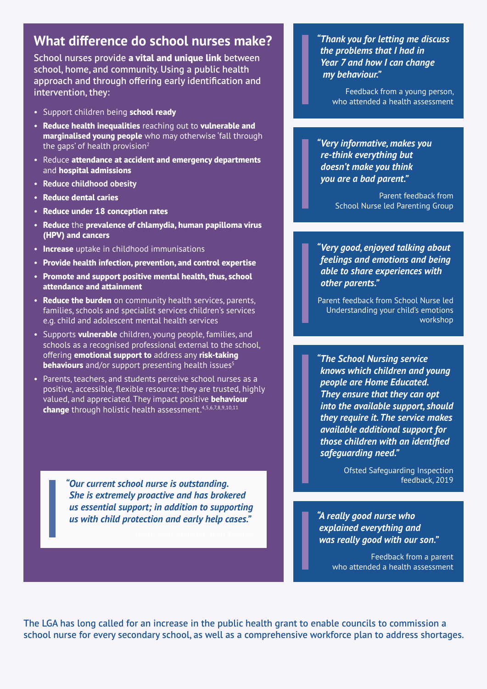## **What difference do school nurses make?**

School nurses provide **a vital and unique link** between school, home, and community. Using a public health approach and through offering early identification and intervention, they:

- Support children being **school ready**
- **Reduce health inequalities** reaching out to **vulnerable and marginalised young people** who may otherwise 'fall through the gaps' of health provision $2$
- Reduce **attendance at accident and emergency departments** and **hospital admissions**
- **Reduce childhood obesity**
- **Reduce dental caries**
- **Reduce under 18 conception rates**
- **Reduce** the **prevalence of chlamydia, human papilloma virus (HPV) and cancers**
- **Increase** uptake in childhood immunisations
- **Provide health infection, prevention, and control expertise**
- **Promote and support positive mental health, thus, school attendance and attainment**
- **Reduce the burden** on community health services, parents, families, schools and specialist services children's services e.g. child and adolescent mental health services
- Supports **vulnerable** children, young people, families, and schools as a recognised professional external to the school, offering **emotional support to** address any **risk-taking behaviours** and/or support presenting health issues<sup>5</sup>
- Parents, teachers, and students perceive school nurses as a positive, accessible, flexible resource; they are trusted, highly valued, and appreciated. They impact positive **behaviour**  change through holistic health assessment.<sup>4,5,6,7,8,9,10,11</sup>

*"Our current school nurse is outstanding. She is extremely proactive and has brokered us essential support; in addition to supporting us with child protection and early help cases." "A really good nurse who* 

*"Thank you for letting me discuss the problems that I had in Year 7 and how I can change my behaviour."*

Feedback from a young person, who attended a health assessment

*"Very informative, makes you re-think everything but doesn't make you think you are a bad parent."*

> Parent feedback from School Nurse led Parenting Group

*"Very good, enjoyed talking about feelings and emotions and being able to share experiences with other parents."*

Parent feedback from School Nurse led Understanding your child's emotions workshop

*"The School Nursing service knows which children and young people are Home Educated. They ensure that they can opt into the available support, should they require it. The service makes available additional support for those children with an identified safeguarding need."*

> Ofsted Safeguarding Inspection feedback, 2019

*explained everything and was really good with our son."*

> Feedback from a parent who attended a health assessment

The LGA has long called for an increase in the public health grant to enable councils to commission a school nurse for every secondary school, as well as a comprehensive workforce plan to address shortages.